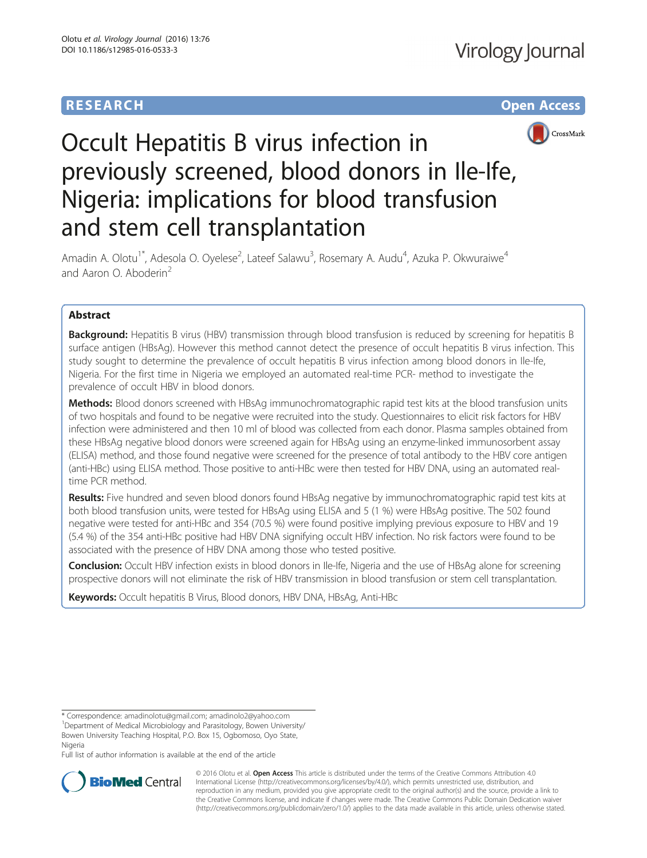# **RESEARCH CHE Open Access**



# Occult Hepatitis B virus infection in previously screened, blood donors in Ile-Ife, Nigeria: implications for blood transfusion and stem cell transplantation

Amadin A. Olotu<sup>1\*</sup>, Adesola O. Oyelese<sup>2</sup>, Lateef Salawu<sup>3</sup>, Rosemary A. Audu<sup>4</sup>, Azuka P. Okwuraiwe<sup>4</sup> and Aaron O. Aboderin<sup>2</sup>

# Abstract

**Background:** Hepatitis B virus (HBV) transmission through blood transfusion is reduced by screening for hepatitis B surface antigen (HBsAg). However this method cannot detect the presence of occult hepatitis B virus infection. This study sought to determine the prevalence of occult hepatitis B virus infection among blood donors in Ile-Ife, Nigeria. For the first time in Nigeria we employed an automated real-time PCR- method to investigate the prevalence of occult HBV in blood donors.

Methods: Blood donors screened with HBsAg immunochromatographic rapid test kits at the blood transfusion units of two hospitals and found to be negative were recruited into the study. Questionnaires to elicit risk factors for HBV infection were administered and then 10 ml of blood was collected from each donor. Plasma samples obtained from these HBsAg negative blood donors were screened again for HBsAg using an enzyme-linked immunosorbent assay (ELISA) method, and those found negative were screened for the presence of total antibody to the HBV core antigen (anti-HBc) using ELISA method. Those positive to anti-HBc were then tested for HBV DNA, using an automated realtime PCR method.

Results: Five hundred and seven blood donors found HBsAg negative by immunochromatographic rapid test kits at both blood transfusion units, were tested for HBsAg using ELISA and 5 (1 %) were HBsAg positive. The 502 found negative were tested for anti-HBc and 354 (70.5 %) were found positive implying previous exposure to HBV and 19 (5.4 %) of the 354 anti-HBc positive had HBV DNA signifying occult HBV infection. No risk factors were found to be associated with the presence of HBV DNA among those who tested positive.

**Conclusion:** Occult HBV infection exists in blood donors in Ile-Ife, Nigeria and the use of HBsAg alone for screening prospective donors will not eliminate the risk of HBV transmission in blood transfusion or stem cell transplantation.

Keywords: Occult hepatitis B Virus, Blood donors, HBV DNA, HBsAg, Anti-HBc

Full list of author information is available at the end of the article



© 2016 Olotu et al. Open Access This article is distributed under the terms of the Creative Commons Attribution 4.0 International License [\(http://creativecommons.org/licenses/by/4.0/](http://creativecommons.org/licenses/by/4.0/)), which permits unrestricted use, distribution, and reproduction in any medium, provided you give appropriate credit to the original author(s) and the source, provide a link to the Creative Commons license, and indicate if changes were made. The Creative Commons Public Domain Dedication waiver [\(http://creativecommons.org/publicdomain/zero/1.0/](http://creativecommons.org/publicdomain/zero/1.0/)) applies to the data made available in this article, unless otherwise stated.

<sup>\*</sup> Correspondence: [amadinolotu@gmail.com](mailto:amadinolotu@gmail.com); [amadinolo2@yahoo.com](mailto:amadinolo2@yahoo.com) <sup>1</sup>

<sup>&</sup>lt;sup>1</sup>Department of Medical Microbiology and Parasitology, Bowen University/ Bowen University Teaching Hospital, P.O. Box 15, Ogbomoso, Oyo State, Nigeria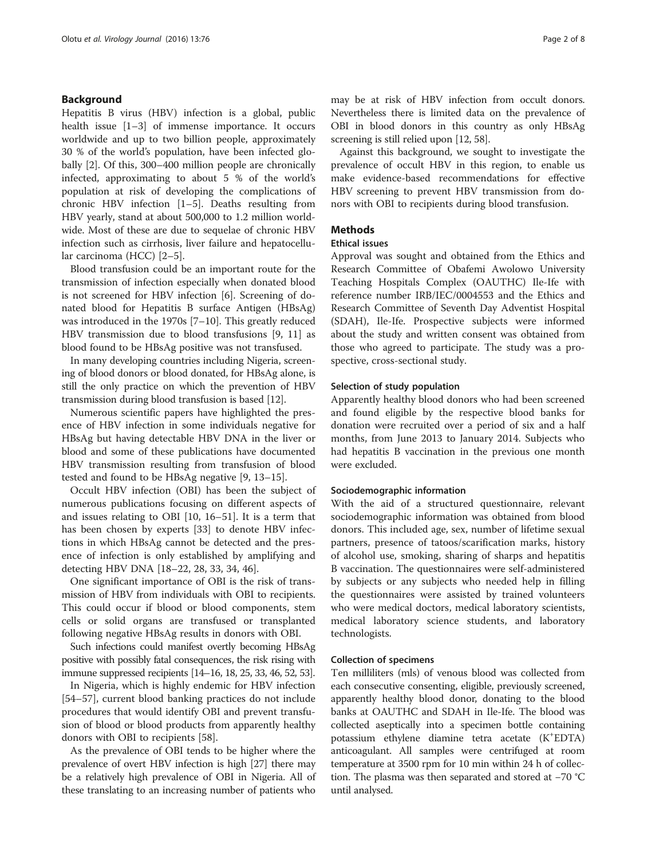#### Background

Hepatitis B virus (HBV) infection is a global, public health issue [\[1](#page-5-0)–[3](#page-5-0)] of immense importance. It occurs worldwide and up to two billion people, approximately 30 % of the world's population, have been infected globally [\[2\]](#page-5-0). Of this, 300–400 million people are chronically infected, approximating to about 5 % of the world's population at risk of developing the complications of chronic HBV infection [\[1](#page-5-0)–[5](#page-5-0)]. Deaths resulting from HBV yearly, stand at about 500,000 to 1.2 million worldwide. Most of these are due to sequelae of chronic HBV infection such as cirrhosis, liver failure and hepatocellular carcinoma (HCC) [\[2](#page-5-0)–[5\]](#page-5-0).

Blood transfusion could be an important route for the transmission of infection especially when donated blood is not screened for HBV infection [[6\]](#page-5-0). Screening of donated blood for Hepatitis B surface Antigen (HBsAg) was introduced in the 1970s [\[7](#page-5-0)–[10\]](#page-5-0). This greatly reduced HBV transmission due to blood transfusions [[9](#page-5-0), [11\]](#page-5-0) as blood found to be HBsAg positive was not transfused.

In many developing countries including Nigeria, screening of blood donors or blood donated, for HBsAg alone, is still the only practice on which the prevention of HBV transmission during blood transfusion is based [[12](#page-5-0)].

Numerous scientific papers have highlighted the presence of HBV infection in some individuals negative for HBsAg but having detectable HBV DNA in the liver or blood and some of these publications have documented HBV transmission resulting from transfusion of blood tested and found to be HBsAg negative [[9, 13](#page-5-0)–[15](#page-5-0)].

Occult HBV infection (OBI) has been the subject of numerous publications focusing on different aspects of and issues relating to OBI [[10, 16](#page-5-0)–[51](#page-6-0)]. It is a term that has been chosen by experts [\[33](#page-6-0)] to denote HBV infections in which HBsAg cannot be detected and the presence of infection is only established by amplifying and detecting HBV DNA [[18](#page-6-0)–[22](#page-6-0), [28](#page-6-0), [33](#page-6-0), [34](#page-6-0), [46](#page-6-0)].

One significant importance of OBI is the risk of transmission of HBV from individuals with OBI to recipients. This could occur if blood or blood components, stem cells or solid organs are transfused or transplanted following negative HBsAg results in donors with OBI.

Such infections could manifest overtly becoming HBsAg positive with possibly fatal consequences, the risk rising with immune suppressed recipients [[14](#page-5-0)–[16,](#page-5-0) [18](#page-6-0), [25](#page-6-0), [33, 46, 52](#page-6-0), [53](#page-6-0)].

In Nigeria, which is highly endemic for HBV infection [[54](#page-6-0)–[57](#page-6-0)], current blood banking practices do not include procedures that would identify OBI and prevent transfusion of blood or blood products from apparently healthy donors with OBI to recipients [[58](#page-6-0)].

As the prevalence of OBI tends to be higher where the prevalence of overt HBV infection is high [[27](#page-6-0)] there may be a relatively high prevalence of OBI in Nigeria. All of these translating to an increasing number of patients who may be at risk of HBV infection from occult donors. Nevertheless there is limited data on the prevalence of OBI in blood donors in this country as only HBsAg screening is still relied upon [\[12,](#page-5-0) [58](#page-6-0)].

Against this background, we sought to investigate the prevalence of occult HBV in this region, to enable us make evidence-based recommendations for effective HBV screening to prevent HBV transmission from donors with OBI to recipients during blood transfusion.

#### **Mathods**

#### Ethical issues

Approval was sought and obtained from the Ethics and Research Committee of Obafemi Awolowo University Teaching Hospitals Complex (OAUTHC) Ile-Ife with reference number IRB/IEC/0004553 and the Ethics and Research Committee of Seventh Day Adventist Hospital (SDAH), Ile-Ife. Prospective subjects were informed about the study and written consent was obtained from those who agreed to participate. The study was a prospective, cross-sectional study.

#### Selection of study population

Apparently healthy blood donors who had been screened and found eligible by the respective blood banks for donation were recruited over a period of six and a half months, from June 2013 to January 2014. Subjects who had hepatitis B vaccination in the previous one month were excluded.

#### Sociodemographic information

With the aid of a structured questionnaire, relevant sociodemographic information was obtained from blood donors. This included age, sex, number of lifetime sexual partners, presence of tatoos/scarification marks, history of alcohol use, smoking, sharing of sharps and hepatitis B vaccination. The questionnaires were self-administered by subjects or any subjects who needed help in filling the questionnaires were assisted by trained volunteers who were medical doctors, medical laboratory scientists, medical laboratory science students, and laboratory technologists.

#### Collection of specimens

Ten milliliters (mls) of venous blood was collected from each consecutive consenting, eligible, previously screened, apparently healthy blood donor, donating to the blood banks at OAUTHC and SDAH in Ile-Ife. The blood was collected aseptically into a specimen bottle containing potassium ethylene diamine tetra acetate (K+ EDTA) anticoagulant. All samples were centrifuged at room temperature at 3500 rpm for 10 min within 24 h of collection. The plasma was then separated and stored at −70 °C until analysed.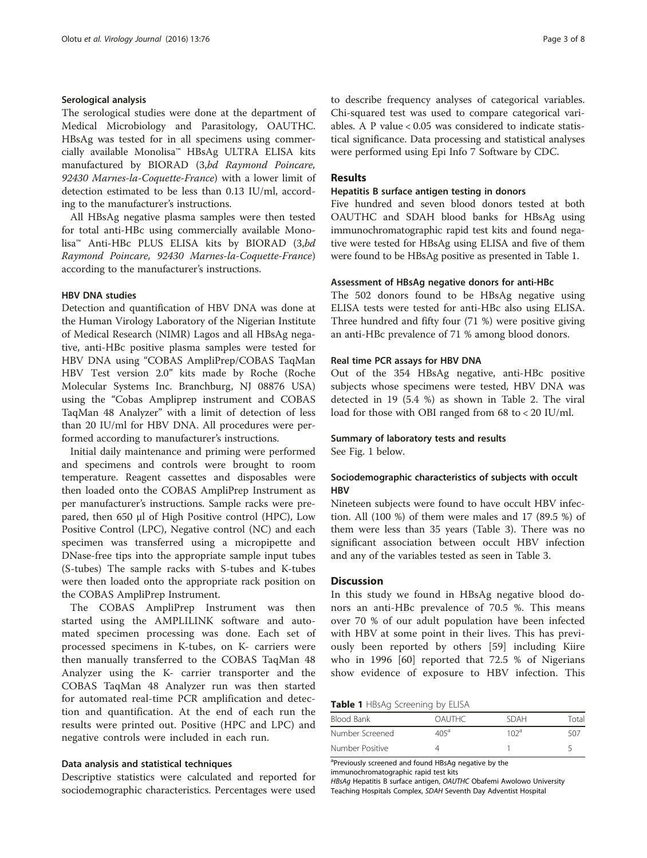#### Serological analysis

The serological studies were done at the department of Medical Microbiology and Parasitology, OAUTHC. HBsAg was tested for in all specimens using commercially available Monolisa™ HBsAg ULTRA ELISA kits manufactured by BIORAD (3,bd Raymond Poincare, 92430 Marnes-la-Coquette-France) with a lower limit of detection estimated to be less than 0.13 IU/ml, according to the manufacturer's instructions.

All HBsAg negative plasma samples were then tested for total anti-HBc using commercially available Monolisa™ Anti-HBc PLUS ELISA kits by BIORAD (3,bd Raymond Poincare, 92430 Marnes-la-Coquette-France) according to the manufacturer's instructions.

#### HBV DNA studies

Detection and quantification of HBV DNA was done at the Human Virology Laboratory of the Nigerian Institute of Medical Research (NIMR) Lagos and all HBsAg negative, anti-HBc positive plasma samples were tested for HBV DNA using "COBAS AmpliPrep/COBAS TaqMan HBV Test version 2.0" kits made by Roche (Roche Molecular Systems Inc. Branchburg, NJ 08876 USA) using the "Cobas Ampliprep instrument and COBAS TaqMan 48 Analyzer" with a limit of detection of less than 20 IU/ml for HBV DNA. All procedures were performed according to manufacturer's instructions.

Initial daily maintenance and priming were performed and specimens and controls were brought to room temperature. Reagent cassettes and disposables were then loaded onto the COBAS AmpliPrep Instrument as per manufacturer's instructions. Sample racks were prepared, then 650 μl of High Positive control (HPC), Low Positive Control (LPC), Negative control (NC) and each specimen was transferred using a micropipette and DNase-free tips into the appropriate sample input tubes (S-tubes) The sample racks with S-tubes and K-tubes were then loaded onto the appropriate rack position on the COBAS AmpliPrep Instrument.

The COBAS AmpliPrep Instrument was then started using the AMPLILINK software and automated specimen processing was done. Each set of processed specimens in K-tubes, on K- carriers were then manually transferred to the COBAS TaqMan 48 Analyzer using the K- carrier transporter and the COBAS TaqMan 48 Analyzer run was then started for automated real-time PCR amplification and detection and quantification. At the end of each run the results were printed out. Positive (HPC and LPC) and negative controls were included in each run.

#### Data analysis and statistical techniques

Descriptive statistics were calculated and reported for sociodemographic characteristics. Percentages were used to describe frequency analyses of categorical variables. Chi-squared test was used to compare categorical variables. A P value < 0.05 was considered to indicate statistical significance. Data processing and statistical analyses were performed using Epi Info 7 Software by CDC.

#### Results

#### Hepatitis B surface antigen testing in donors

Five hundred and seven blood donors tested at both OAUTHC and SDAH blood banks for HBsAg using immunochromatographic rapid test kits and found negative were tested for HBsAg using ELISA and five of them were found to be HBsAg positive as presented in Table 1.

#### Assessment of HBsAg negative donors for anti-HBc

The 502 donors found to be HBsAg negative using ELISA tests were tested for anti-HBc also using ELISA. Three hundred and fifty four (71 %) were positive giving an anti-HBc prevalence of 71 % among blood donors.

#### Real time PCR assays for HBV DNA

Out of the 354 HBsAg negative, anti-HBc positive subjects whose specimens were tested, HBV DNA was detected in 19 (5.4 %) as shown in Table [2](#page-3-0). The viral load for those with OBI ranged from 68 to < 20 IU/ml.

#### Summary of laboratory tests and results

See Fig. [1](#page-3-0) below.

### Sociodemographic characteristics of subjects with occult **HRV**

Nineteen subjects were found to have occult HBV infection. All (100 %) of them were males and 17 (89.5 %) of them were less than 35 years (Table [3\)](#page-4-0). There was no significant association between occult HBV infection and any of the variables tested as seen in Table [3](#page-4-0).

#### **Discussion**

In this study we found in HBsAg negative blood donors an anti-HBc prevalence of 70.5 %. This means over 70 % of our adult population have been infected with HBV at some point in their lives. This has previously been reported by others [\[59](#page-6-0)] including Kiire who in 1996 [[60\]](#page-6-0) reported that 72.5 % of Nigerians show evidence of exposure to HBV infection. This

Table 1 HBsAg Screening by ELISA

| Blood Bank      | <b>OAUTHC</b> | <b>SDAH</b> | Total |
|-----------------|---------------|-------------|-------|
| Number Screened | $405^{\circ}$ | 10 $2a$     | 507   |
| Number Positive |               |             |       |

<sup>a</sup>Previously screened and found HBsAg negative by the immunochromatographic rapid test kits

HBsAg Hepatitis B surface antigen, OAUTHC Obafemi Awolowo University Teaching Hospitals Complex, SDAH Seventh Day Adventist Hospital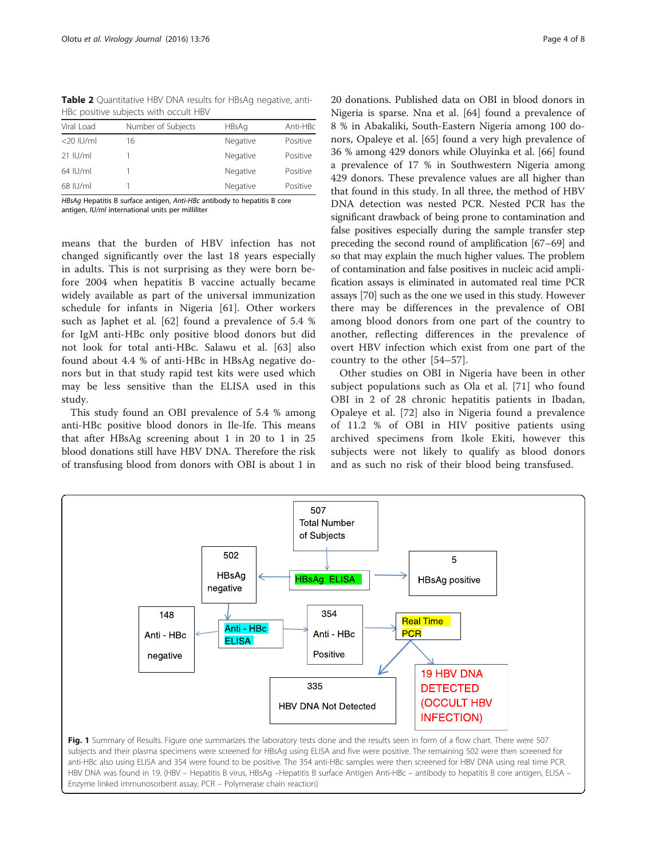| THE POSITIVE SUPPLETS WITH OCCURT HDV |                    |              |          |  |  |  |
|---------------------------------------|--------------------|--------------|----------|--|--|--|
| Viral Load                            | Number of Subjects | <b>HBsAg</b> | Anti-HBc |  |  |  |
| $<$ 20 IU/ml                          | 16                 | Negative     | Positive |  |  |  |
| $21$ IU/ml                            |                    | Negative     | Positive |  |  |  |
| 64 IU/ml                              |                    | Negative     | Positive |  |  |  |
| 68 IU/ml                              |                    | Negative     | Positive |  |  |  |
|                                       |                    |              |          |  |  |  |

<span id="page-3-0"></span>Table 2 Quantitative HBV DNA results for HBsAg negative, anti-HBc positive subjects with occult HBV

HBsAg Hepatitis B surface antigen, Anti-HBc antibody to hepatitis B core antigen, IU/ml international units per milliliter

means that the burden of HBV infection has not changed significantly over the last 18 years especially in adults. This is not surprising as they were born before 2004 when hepatitis B vaccine actually became widely available as part of the universal immunization schedule for infants in Nigeria [\[61](#page-6-0)]. Other workers such as Japhet et al. [[62\]](#page-6-0) found a prevalence of 5.4 % for IgM anti-HBc only positive blood donors but did not look for total anti-HBc. Salawu et al. [\[63](#page-6-0)] also found about 4.4 % of anti-HBc in HBsAg negative donors but in that study rapid test kits were used which may be less sensitive than the ELISA used in this study.

This study found an OBI prevalence of 5.4 % among anti-HBc positive blood donors in Ile-Ife. This means that after HBsAg screening about 1 in 20 to 1 in 25 blood donations still have HBV DNA. Therefore the risk of transfusing blood from donors with OBI is about 1 in

20 donations. Published data on OBI in blood donors in Nigeria is sparse. Nna et al. [[64](#page-6-0)] found a prevalence of 8 % in Abakaliki, South-Eastern Nigeria among 100 donors, Opaleye et al. [\[65\]](#page-6-0) found a very high prevalence of 36 % among 429 donors while Oluyinka et al. [[66](#page-6-0)] found a prevalence of 17 % in Southwestern Nigeria among 429 donors. These prevalence values are all higher than that found in this study. In all three, the method of HBV DNA detection was nested PCR. Nested PCR has the significant drawback of being prone to contamination and false positives especially during the sample transfer step preceding the second round of amplification [\[67](#page-7-0)–[69](#page-7-0)] and so that may explain the much higher values. The problem of contamination and false positives in nucleic acid amplification assays is eliminated in automated real time PCR assays [[70](#page-7-0)] such as the one we used in this study. However there may be differences in the prevalence of OBI among blood donors from one part of the country to another, reflecting differences in the prevalence of overt HBV infection which exist from one part of the country to the other [[54](#page-6-0)–[57\]](#page-6-0).

Other studies on OBI in Nigeria have been in other subject populations such as Ola et al. [[71](#page-7-0)] who found OBI in 2 of 28 chronic hepatitis patients in Ibadan, Opaleye et al. [[72\]](#page-7-0) also in Nigeria found a prevalence of 11.2 % of OBI in HIV positive patients using archived specimens from Ikole Ekiti, however this subjects were not likely to qualify as blood donors and as such no risk of their blood being transfused.

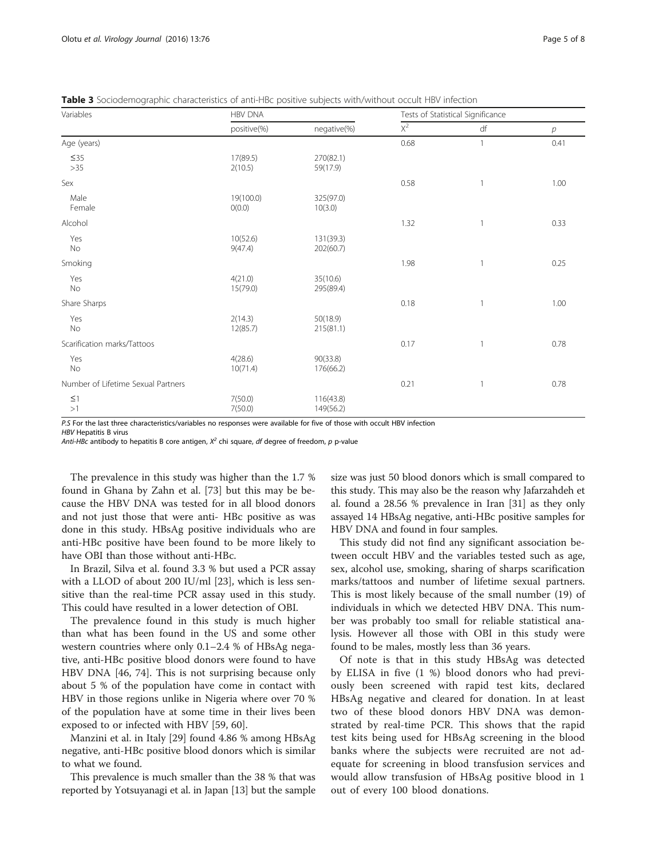<span id="page-4-0"></span>Table 3 Sociodemographic characteristics of anti-HBc positive subjects with/without occult HBV infection

| Variables                          | <b>HBV DNA</b>      |                        | Tests of Statistical Significance |                |      |
|------------------------------------|---------------------|------------------------|-----------------------------------|----------------|------|
|                                    | positive(%)         | negative(%)            | $X^2$                             | df             | р    |
| Age (years)                        |                     |                        | 0.68                              | $\mathbf{1}$   | 0.41 |
| $\leq$ 35<br>$>35$                 | 17(89.5)<br>2(10.5) | 270(82.1)<br>59(17.9)  |                                   |                |      |
| Sex                                |                     |                        | 0.58                              | $\mathbf{1}$   | 1.00 |
| Male<br>Female                     | 19(100.0)<br>O(0.0) | 325(97.0)<br>10(3.0)   |                                   |                |      |
| Alcohol                            |                     |                        | 1.32                              | 1              | 0.33 |
| Yes<br>No                          | 10(52.6)<br>9(47.4) | 131(39.3)<br>202(60.7) |                                   |                |      |
| Smoking                            |                     |                        | 1.98                              | $\overline{1}$ | 0.25 |
| Yes<br>No                          | 4(21.0)<br>15(79.0) | 35(10.6)<br>295(89.4)  |                                   |                |      |
| Share Sharps                       |                     |                        | 0.18                              | 1              | 1.00 |
| Yes<br>No                          | 2(14.3)<br>12(85.7) | 50(18.9)<br>215(81.1)  |                                   |                |      |
| Scarification marks/Tattoos        |                     |                        | 0.17                              | $\overline{1}$ | 0.78 |
| Yes<br>No                          | 4(28.6)<br>10(71.4) | 90(33.8)<br>176(66.2)  |                                   |                |      |
| Number of Lifetime Sexual Partners |                     |                        | 0.21                              | $\mathbf{1}$   | 0.78 |
| $\leq$ 1<br>>1                     | 7(50.0)<br>7(50.0)  | 116(43.8)<br>149(56.2) |                                   |                |      |

P.S For the last three characteristics/variables no responses were available for five of those with occult HBV infection

HBV Hepatitis B virus

Anti-HBc antibody to hepatitis B core antigen,  $X^2$  chi square, df degree of freedom, p p-value

The prevalence in this study was higher than the 1.7 % found in Ghana by Zahn et al. [[73](#page-7-0)] but this may be because the HBV DNA was tested for in all blood donors and not just those that were anti- HBc positive as was done in this study. HBsAg positive individuals who are anti-HBc positive have been found to be more likely to have OBI than those without anti-HBc.

In Brazil, Silva et al. found 3.3 % but used a PCR assay with a LLOD of about 200 IU/ml [\[23](#page-6-0)], which is less sensitive than the real-time PCR assay used in this study. This could have resulted in a lower detection of OBI.

The prevalence found in this study is much higher than what has been found in the US and some other western countries where only 0.1–2.4 % of HBsAg negative, anti-HBc positive blood donors were found to have HBV DNA [\[46,](#page-6-0) [74\]](#page-7-0). This is not surprising because only about 5 % of the population have come in contact with HBV in those regions unlike in Nigeria where over 70 % of the population have at some time in their lives been exposed to or infected with HBV [\[59, 60\]](#page-6-0).

Manzini et al. in Italy [[29](#page-6-0)] found 4.86 % among HBsAg negative, anti-HBc positive blood donors which is similar to what we found.

This prevalence is much smaller than the 38 % that was reported by Yotsuyanagi et al. in Japan [\[13\]](#page-5-0) but the sample size was just 50 blood donors which is small compared to this study. This may also be the reason why Jafarzahdeh et al. found a 28.56 % prevalence in Iran [[31](#page-6-0)] as they only assayed 14 HBsAg negative, anti-HBc positive samples for HBV DNA and found in four samples.

This study did not find any significant association between occult HBV and the variables tested such as age, sex, alcohol use, smoking, sharing of sharps scarification marks/tattoos and number of lifetime sexual partners. This is most likely because of the small number (19) of individuals in which we detected HBV DNA. This number was probably too small for reliable statistical analysis. However all those with OBI in this study were found to be males, mostly less than 36 years.

Of note is that in this study HBsAg was detected by ELISA in five (1 %) blood donors who had previously been screened with rapid test kits, declared HBsAg negative and cleared for donation. In at least two of these blood donors HBV DNA was demonstrated by real-time PCR. This shows that the rapid test kits being used for HBsAg screening in the blood banks where the subjects were recruited are not adequate for screening in blood transfusion services and would allow transfusion of HBsAg positive blood in 1 out of every 100 blood donations.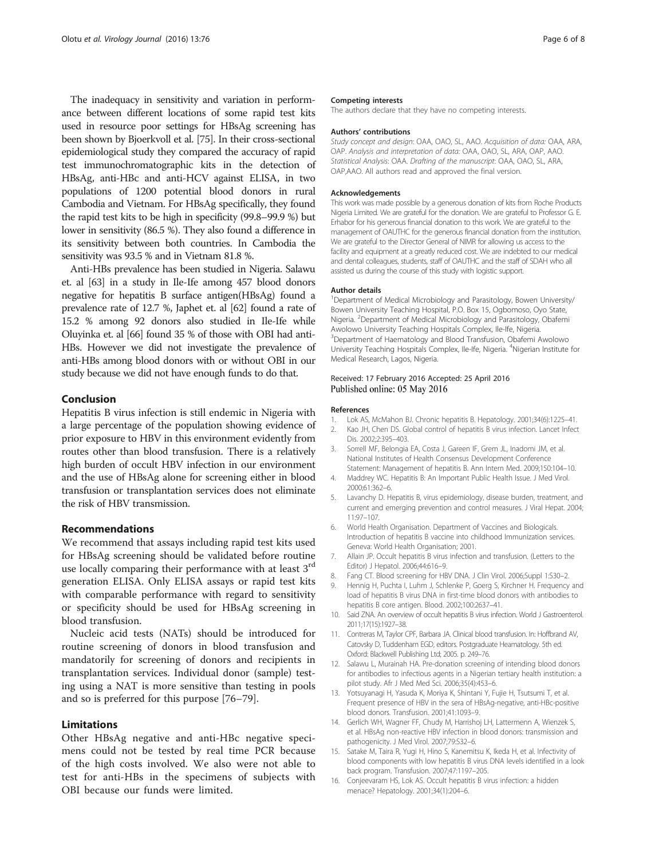<span id="page-5-0"></span>The inadequacy in sensitivity and variation in performance between different locations of some rapid test kits used in resource poor settings for HBsAg screening has been shown by Bjoerkvoll et al. [\[75](#page-7-0)]. In their cross-sectional epidemiological study they compared the accuracy of rapid test immunochromatographic kits in the detection of HBsAg, anti-HBc and anti-HCV against ELISA, in two populations of 1200 potential blood donors in rural Cambodia and Vietnam. For HBsAg specifically, they found the rapid test kits to be high in specificity (99.8–99.9 %) but lower in sensitivity (86.5 %). They also found a difference in its sensitivity between both countries. In Cambodia the sensitivity was 93.5 % and in Vietnam 81.8 %.

Anti-HBs prevalence has been studied in Nigeria. Salawu et. al [\[63\]](#page-6-0) in a study in Ile-Ife among 457 blood donors negative for hepatitis B surface antigen(HBsAg) found a prevalence rate of 12.7 %, Japhet et. al [\[62](#page-6-0)] found a rate of 15.2 % among 92 donors also studied in Ile-Ife while Oluyinka et. al [\[66\]](#page-6-0) found 35 % of those with OBI had anti-HBs. However we did not investigate the prevalence of anti-HBs among blood donors with or without OBI in our study because we did not have enough funds to do that.

#### Conclusion

Hepatitis B virus infection is still endemic in Nigeria with a large percentage of the population showing evidence of prior exposure to HBV in this environment evidently from routes other than blood transfusion. There is a relatively high burden of occult HBV infection in our environment and the use of HBsAg alone for screening either in blood transfusion or transplantation services does not eliminate the risk of HBV transmission.

#### Recommendations

We recommend that assays including rapid test kits used for HBsAg screening should be validated before routine use locally comparing their performance with at least 3<sup>rd</sup> generation ELISA. Only ELISA assays or rapid test kits with comparable performance with regard to sensitivity or specificity should be used for HBsAg screening in blood transfusion.

Nucleic acid tests (NATs) should be introduced for routine screening of donors in blood transfusion and mandatorily for screening of donors and recipients in transplantation services. Individual donor (sample) testing using a NAT is more sensitive than testing in pools and so is preferred for this purpose [\[76](#page-7-0)–[79\]](#page-7-0).

#### Limitations

Other HBsAg negative and anti-HBc negative specimens could not be tested by real time PCR because of the high costs involved. We also were not able to test for anti-HBs in the specimens of subjects with OBI because our funds were limited.

#### Competing interests

The authors declare that they have no competing interests.

#### Authors' contributions

Study concept and design: OAA, OAO, SL, AAO. Acquisition of data: OAA, ARA, OAP. Analysis and interpretation of data: OAA, OAO, SL, ARA, OAP, AAO. Statistical Analysis: OAA. Drafting of the manuscript: OAA, OAO, SL, ARA, OAP,AAO. All authors read and approved the final version.

#### Acknowledgements

This work was made possible by a generous donation of kits from Roche Products Nigeria Limited. We are grateful for the donation. We are grateful to Professor G. E. Erhabor for his generous financial donation to this work. We are grateful to the management of OAUTHC for the generous financial donation from the institution. We are grateful to the Director General of NIMR for allowing us access to the facility and equipment at a greatly reduced cost. We are indebted to our medical and dental colleagues, students, staff of OAUTHC and the staff of SDAH who all assisted us during the course of this study with logistic support.

#### Author details

<sup>1</sup>Department of Medical Microbiology and Parasitology, Bowen University/ Bowen University Teaching Hospital, P.O. Box 15, Ogbomoso, Oyo State, Nigeria. <sup>2</sup>Department of Medical Microbiology and Parasitology, Obafemi Awolowo University Teaching Hospitals Complex, Ile-Ife, Nigeria. <sup>3</sup>Department of Haematology and Blood Transfusion, Obafemi Awolowo University Teaching Hospitals Complex, Ile-Ife, Nigeria. <sup>4</sup>Nigerian Institute for Medical Research, Lagos, Nigeria.

#### Received: 17 February 2016 Accepted: 25 April 2016 Published online: 05 May 2016

#### References

- 1. Lok AS, McMahon BJ. Chronic hepatitis B. Hepatology. 2001;34(6):1225–41.
- 2. Kao JH, Chen DS. Global control of hepatitis B virus infection. Lancet Infect Dis. 2002;2:395–403.
- 3. Sorrell MF, Belongia EA, Costa J, Gareen IF, Grem JL, Inadomi JM, et al. National Institutes of Health Consensus Development Conference Statement: Management of hepatitis B. Ann Intern Med. 2009;150:104–10.
- 4. Maddrey WC. Hepatitis B: An Important Public Health Issue. J Med Virol. 2000;61:362–6.
- 5. Lavanchy D. Hepatitis B, virus epidemiology, disease burden, treatment, and current and emerging prevention and control measures. J Viral Hepat. 2004; 11:97–107.
- 6. World Health Organisation. Department of Vaccines and Biologicals. Introduction of hepatitis B vaccine into childhood Immunization services. Geneva: World Health Organisation; 2001.
- 7. Allain JP. Occult hepatitis B virus infection and transfusion. (Letters to the Editor) J Hepatol. 2006;44:616–9.
- 8. Fang CT. Blood screening for HBV DNA. J Clin Virol. 2006;Suppl 1:S30-2.
- 9. Hennig H, Puchta I, Luhm J, Schlenke P, Goerg S, Kirchner H. Frequency and load of hepatitis B virus DNA in first-time blood donors with antibodies to hepatitis B core antigen. Blood. 2002;100:2637–41.
- 10. Said ZNA. An overview of occult hepatitis B virus infection. World J Gastroenterol. 2011;17(15):1927–38.
- 11. Contreras M, Taylor CPF, Barbara JA. Clinical blood transfusion. In: Hoffbrand AV, Catovsky D, Tuddenham EGD, editors. Postgraduate Heamatology. 5th ed. Oxford: Blackwell Publishing Ltd; 2005. p. 249–76.
- 12. Salawu L, Murainah HA. Pre-donation screening of intending blood donors for antibodies to infectious agents in a Nigerian tertiary health institution: a pilot study. Afr J Med Med Sci. 2006;35(4):453–6.
- 13. Yotsuyanagi H, Yasuda K, Moriya K, Shintani Y, Fujie H, Tsutsumi T, et al. Frequent presence of HBV in the sera of HBsAg-negative, anti-HBc-positive blood donors. Transfusion. 2001;41:1093–9.
- 14. Gerlich WH, Wagner FF, Chudy M, Harrishoj LH, Lattermenn A, Wienzek S, et al. HBsAg non-reactive HBV infection in blood donors: transmission and pathogenicity. J Med Virol. 2007;79:S32–6.
- 15. Satake M, Taira R, Yugi H, Hino S, Kanemitsu K, Ikeda H, et al. Infectivity of blood components with low hepatitis B virus DNA levels identified in a look back program. Transfusion. 2007;47:1197–205.
- 16. Conjeevaram HS, Lok AS. Occult hepatitis B virus infection: a hidden menace? Hepatology. 2001;34(1):204–6.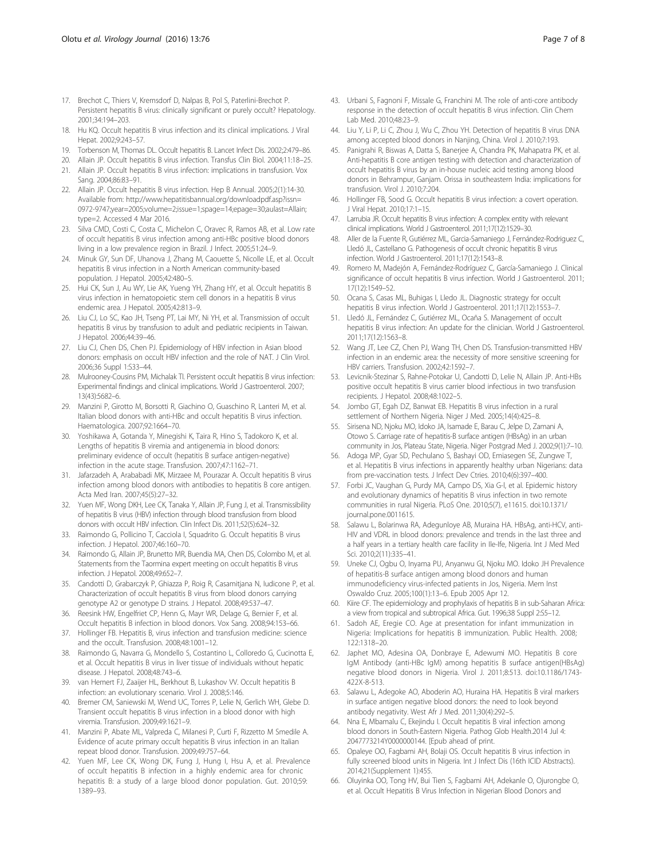- <span id="page-6-0"></span>17. Brechot C, Thiers V, Kremsdorf D, Nalpas B, Pol S, Paterlini-Brechot P. Persistent hepatitis B virus: clinically significant or purely occult? Hepatology. 2001;34:194–203.
- 18. Hu KQ. Occult hepatitis B virus infection and its clinical implications. J Viral Hepat. 2002;9:243–57.
- 19. Torbenson M, Thomas DL. Occult hepatitis B. Lancet Infect Dis. 2002;2:479–86.
- 20. Allain JP. Occult hepatitis B virus infection. Transfus Clin Biol. 2004;11:18–25.
- 21. Allain JP. Occult hepatitis B virus infection: implications in transfusion. Vox Sang. 2004;86:83–91.
- 22. Allain JP. Occult hepatitis B virus infection. Hep B Annual. 2005;2(1):14-30. Available from: [http://www.hepatitisbannual.org/downloadpdf.asp?issn=](http://www.hepatitisbannual.org/downloadpdf.asp?issn=0972-9747;year=2005;volume=2;issue=1;spage=14;epage=30;aulast=Allain;type=2) [0972-9747;year=2005;volume=2;issue=1;spage=14;epage=30;aulast=Allain;](http://www.hepatitisbannual.org/downloadpdf.asp?issn=0972-9747;year=2005;volume=2;issue=1;spage=14;epage=30;aulast=Allain;type=2) [type=2.](http://www.hepatitisbannual.org/downloadpdf.asp?issn=0972-9747;year=2005;volume=2;issue=1;spage=14;epage=30;aulast=Allain;type=2) Accessed 4 Mar 2016.
- 23. Silva CMD, Costi C, Costa C, Michelon C, Oravec R, Ramos AB, et al. Low rate of occult hepatitis B virus infection among anti-HBc positive blood donors living in a low prevalence region in Brazil. J Infect. 2005;51:24–9.
- 24. Minuk GY, Sun DF, Uhanova J, Zhang M, Caouette S, Nicolle LE, et al. Occult hepatitis B virus infection in a North American community-based population. J Hepatol. 2005;42:480–5.
- 25. Hui CK, Sun J, Au WY, Lie AK, Yueng YH, Zhang HY, et al. Occult hepatitis B virus infection in hematopoietic stem cell donors in a hepatitis B virus endemic area. J Hepatol. 2005;42:813–9.
- 26. Liu CJ, Lo SC, Kao JH, Tseng PT, Lai MY, Ni YH, et al. Transmission of occult hepatitis B virus by transfusion to adult and pediatric recipients in Taiwan. J Hepatol. 2006;44:39–46.
- 27. Liu CJ, Chen DS, Chen PJ. Epidemiology of HBV infection in Asian blood donors: emphasis on occult HBV infection and the role of NAT. J Clin Virol. 2006;36 Suppl 1:S33–44.
- 28. Mulrooney-Cousins PM, Michalak TI. Persistent occult hepatitis B virus infection: Experimental findings and clinical implications. World J Gastroenterol. 2007; 13(43):5682–6.
- 29. Manzini P, Girotto M, Borsotti R, Giachino O, Guaschino R, Lanteri M, et al. Italian blood donors with anti-HBc and occult hepatitis B virus infection. Haematologica. 2007;92:1664–70.
- 30. Yoshikawa A, Gotanda Y, Minegishi K, Taira R, Hino S, Tadokoro K, et al. Lengths of hepatitis B viremia and antigenemia in blood donors: preliminary evidence of occult (hepatitis B surface antigen-negative) infection in the acute stage. Transfusion. 2007;47:1162–71.
- 31. Jafarzadeh A, Arababadi MK, Mirzaee M, Pourazar A. Occult hepatitis B virus infection among blood donors with antibodies to hepatitis B core antigen. Acta Med Iran. 2007;45(5):27–32.
- 32. Yuen MF, Wong DKH, Lee CK, Tanaka Y, Allain JP, Fung J, et al. Transmissibility of hepatitis B virus (HBV) infection through blood transfusion from blood donors with occult HBV infection. Clin Infect Dis. 2011;52(5):624–32.
- 33. Raimondo G, Pollicino T, Cacciola I, Squadrito G. Occult hepatitis B virus infection. J Hepatol. 2007;46:160–70.
- Raimondo G, Allain JP, Brunetto MR, Buendia MA, Chen DS, Colombo M, et al. Statements from the Taormina expert meeting on occult hepatitis B virus infection. J Hepatol. 2008;49:652–7.
- 35. Candotti D, Grabarczyk P, Ghiazza P, Roig R, Casamitjana N, Iudicone P, et al. Characterization of occult hepatitis B virus from blood donors carrying genotype A2 or genotype D strains. J Hepatol. 2008;49:537–47.
- 36. Reesink HW, Engelfriet CP, Henn G, Mayr WR, Delage G, Bernier F, et al. Occult hepatitis B infection in blood donors. Vox Sang. 2008;94:153–66.
- 37. Hollinger FB. Hepatitis B, virus infection and transfusion medicine: science and the occult. Transfusion. 2008;48:1001–12.
- 38. Raimondo G, Navarra G, Mondello S, Costantino L, Colloredo G, Cucinotta E, et al. Occult hepatitis B virus in liver tissue of individuals without hepatic disease. J Hepatol. 2008;48:743–6.
- 39. van Hemert FJ, Zaaijer HL, Berkhout B, Lukashov W. Occult hepatitis B infection: an evolutionary scenario. Virol J. 2008;5:146.
- 40. Bremer CM, Saniewski M, Wend UC, Torres P, Lelie N, Gerlich WH, Glebe D. Transient occult hepatitis B virus infection in a blood donor with high viremia. Transfusion. 2009;49:1621–9.
- 41. Manzini P, Abate ML, Valpreda C, Milanesi P, Curti F, Rizzetto M Smedile A. Evidence of acute primary occult hepatitis B virus infection in an Italian repeat blood donor. Transfusion. 2009;49:757–64.
- 42. Yuen MF, Lee CK, Wong DK, Fung J, Hung I, Hsu A, et al. Prevalence of occult hepatitis B infection in a highly endemic area for chronic hepatitis B: a study of a large blood donor population. Gut. 2010;59: 1389–93.
- 43. Urbani S, Fagnoni F, Missale G, Franchini M. The role of anti-core antibody response in the detection of occult hepatitis B virus infection. Clin Chem Lab Med. 2010;48:23–9.
- 44. Liu Y, Li P, Li C, Zhou J, Wu C, Zhou YH. Detection of hepatitis B virus DNA among accepted blood donors in Nanjing, China. Virol J. 2010;7:193.
- 45. Panigrahi R, Biswas A, Datta S, Banerjee A, Chandra PK, Mahapatra PK, et al. Anti-hepatitis B core antigen testing with detection and characterization of occult hepatitis B virus by an in-house nucleic acid testing among blood donors in Behrampur, Ganjam. Orissa in southeastern India: implications for transfusion. Virol J. 2010;7:204.
- 46. Hollinger FB, Sood G. Occult hepatitis B virus infection: a covert operation. J Viral Hepat. 2010;17:1–15.
- 47. Larrubia JR. Occult hepatitis B virus infection: A complex entity with relevant clinical implications. World J Gastroenterol. 2011;17(12):1529–30.
- 48. Aller de la Fuente R, Gutiérrez ML, Garcia-Samaniego J, Fernández-Rodriguez C, Lledó JL, Castellano G. Pathogenesis of occult chronic hepatitis B virus infection. World J Gastroenterol. 2011;17(12):1543–8.
- 49. Romero M, Madejón A, Fernández-Rodríguez C, García-Samaniego J. Clinical significance of occult hepatitis B virus infection. World J Gastroenterol. 2011; 17(12):1549–52.
- 50. Ocana S, Casas ML, Buhigas I, Lledo JL. Diagnostic strategy for occult hepatitis B virus infection. World J Gastroenterol. 2011;17(12):1553–7.
- 51. Lledó JL, Fernández C, Gutiérrez ML, Ocaña S. Management of occult hepatitis B virus infection: An update for the clinician. World J Gastroenterol. 2011;17(12):1563–8.
- 52. Wang JT, Lee CZ, Chen PJ, Wang TH, Chen DS. Transfusion-transmitted HBV infection in an endemic area: the necessity of more sensitive screening for HBV carriers. Transfusion. 2002;42:1592–7.
- Levicnik-Stezinar S, Rahne-Potokar U, Candotti D, Lelie N, Allain JP. Anti-HBs positive occult hepatitis B virus carrier blood infectious in two transfusion recipients. J Hepatol. 2008;48:1022–5.
- 54. Jombo GT, Egah DZ, Banwat EB. Hepatitis B virus infection in a rural settlement of Northern Nigeria. Niger J Med. 2005;14(4):425–8.
- 55. Sirisena ND, Njoku MO, Idoko JA, Isamade E, Barau C, Jelpe D, Zamani A, Otowo S. Carriage rate of hepatitis-B surface antigen (HBsAg) in an urban community in Jos, Plateau State, Nigeria. Niger Postgrad Med J. 2002;9(1):7–10.
- 56. Adoga MP, Gyar SD, Pechulano S, Bashayi OD, Emiasegen SE, Zungwe T, et al. Hepatitis B virus infections in apparently healthy urban Nigerians: data from pre-vaccination tests. J Infect Dev Ctries. 2010;4(6):397–400.
- 57. Forbi JC, Vaughan G, Purdy MA, Campo DS, Xia G-l, et al. Epidemic history and evolutionary dynamics of hepatitis B virus infection in two remote communities in rural Nigeria. PLoS One. 2010;5(7), e11615. doi[:10.1371/](http://dx.doi.org/10.1371/journal.pone.0011615) [journal.pone.0011615](http://dx.doi.org/10.1371/journal.pone.0011615).
- 58. Salawu L, Bolarinwa RA, Adegunloye AB, Muraina HA. HBsAg, anti-HCV, anti-HIV and VDRL in blood donors: prevalence and trends in the last three and a half years in a tertiary health care facility in Ile-Ife, Nigeria. Int J Med Med Sci. 2010;2(11):335–41.
- 59. Uneke CJ, Ogbu O, Inyama PU, Anyanwu GI, Njoku MO. Idoko JH Prevalence of hepatitis-B surface antigen among blood donors and human immunodeficiency virus-infected patients in Jos, Nigeria. Mem Inst Oswaldo Cruz. 2005;100(1):13–6. Epub 2005 Apr 12.
- 60. Kiire CF. The epidemiology and prophylaxis of hepatitis B in sub-Saharan Africa: a view from tropical and subtropical Africa. Gut. 1996;38 Suppl 2:S5–12.
- 61. Sadoh AE, Eregie CO. Age at presentation for infant immunization in Nigeria: Implications for hepatitis B immunization. Public Health. 2008; 122:1318–20.
- 62. Japhet MO, Adesina OA, Donbraye E, Adewumi MO. Hepatitis B core IgM Antibody (anti-HBc IgM) among hepatitis B surface antigen(HBsAg) negative blood donors in Nigeria. Virol J. 2011;8:513. doi:[10.1186/1743-](http://dx.doi.org/10.1186/1743-422X-8-513) [422X-8-513.](http://dx.doi.org/10.1186/1743-422X-8-513)
- 63. Salawu L, Adegoke AO, Aboderin AO, Huraina HA. Hepatitis B viral markers in surface antigen negative blood donors: the need to look beyond antibody negativity. West Afr J Med. 2011;30(4):292–5.
- 64. Nna E, Mbamalu C, Ekejindu I. Occult hepatitis B viral infection among blood donors in South-Eastern Nigeria. Pathog Glob Health.2014 Jul 4: 2047773214Y0000000144. [Epub ahead of print.
- 65. Opaleye OO, Fagbami AH, Bolaji OS. Occult hepatitis B virus infection in fully screened blood units in Nigeria. Int J Infect Dis (16th ICID Abstracts). 2014;21(Supplement 1):455.
- 66. Oluyinka OO, Tong HV, Bui Tien S, Fagbami AH, Adekanle O, Ojurongbe O, et al. Occult Hepatitis B Virus Infection in Nigerian Blood Donors and